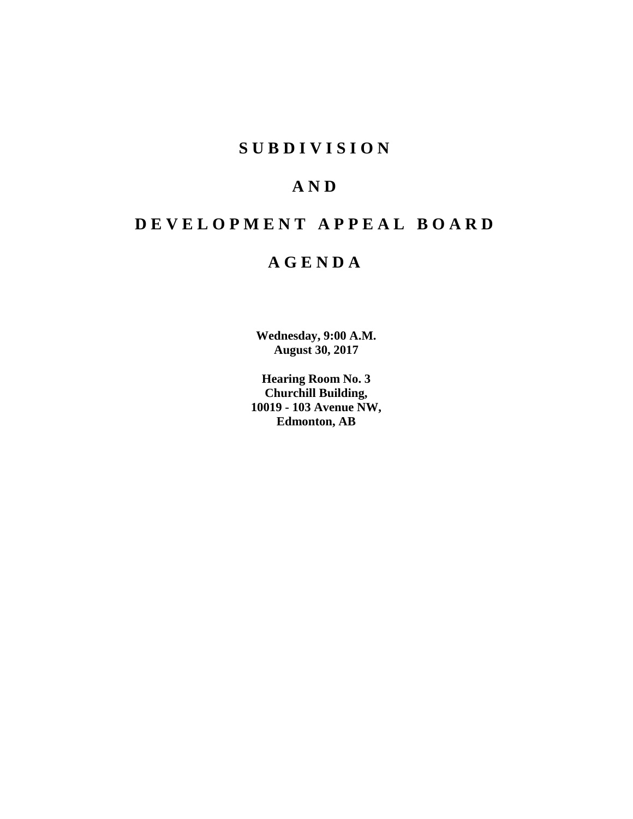## **S U B D I V I S I O N**

## **A N D**

# **D E V E L O P M E N T A P P E A L B O A R D**

## **A G E N D A**

**Wednesday, 9:00 A.M. August 30, 2017**

**Hearing Room No. 3 Churchill Building, 10019 - 103 Avenue NW, Edmonton, AB**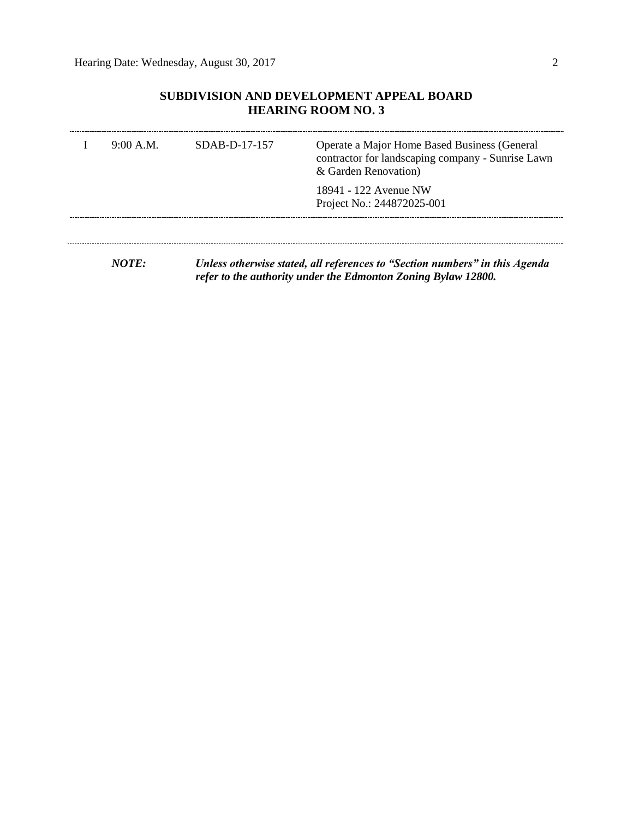## **SUBDIVISION AND DEVELOPMENT APPEAL BOARD HEARING ROOM NO. 3**

| 9:00 A.M. | SDAB-D-17-157 | Operate a Major Home Based Business (General<br>contractor for landscaping company - Sunrise Lawn<br>& Garden Renovation) |
|-----------|---------------|---------------------------------------------------------------------------------------------------------------------------|
|           |               | 18941 - 122 Avenue NW<br>Project No.: 244872025-001                                                                       |
|           |               |                                                                                                                           |

*NOTE: Unless otherwise stated, all references to "Section numbers" in this Agenda refer to the authority under the Edmonton Zoning Bylaw 12800.*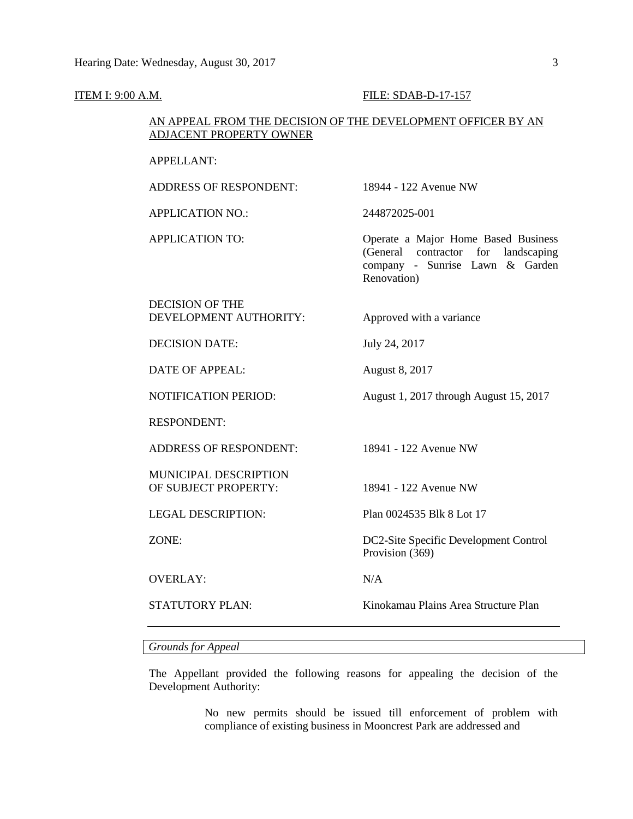#### **ITEM I: 9:00 A.M. FILE: SDAB-D-17-157**

#### AN APPEAL FROM THE DECISION OF THE DEVELOPMENT OFFICER BY AN ADJACENT PROPERTY OWNER

#### APPELLANT:

ADDRESS OF RESPONDENT: 18944 - 122 Avenue NW APPLICATION NO.: 244872025-001 APPLICATION TO: Operate a Major Home Based Business (General contractor for landscaping company - Sunrise Lawn & Garden Renovation) DECISION OF THE DEVELOPMENT AUTHORITY: Approved with a variance DECISION DATE: July 24, 2017 DATE OF APPEAL: August 8, 2017 NOTIFICATION PERIOD: August 1, 2017 through August 15, 2017 RESPONDENT: ADDRESS OF RESPONDENT: 18941 - 122 Avenue NW MUNICIPAL DESCRIPTION OF SUBJECT PROPERTY: 18941 - 122 Avenue NW LEGAL DESCRIPTION: Plan 0024535 Blk 8 Lot 17 ZONE: DC2-Site Specific Development Control Provision (369) OVERLAY: N/A STATUTORY PLAN: Kinokamau Plains Area Structure Plan

#### *Grounds for Appeal*

The Appellant provided the following reasons for appealing the decision of the Development Authority:

> No new permits should be issued till enforcement of problem with compliance of existing business in Mooncrest Park are addressed and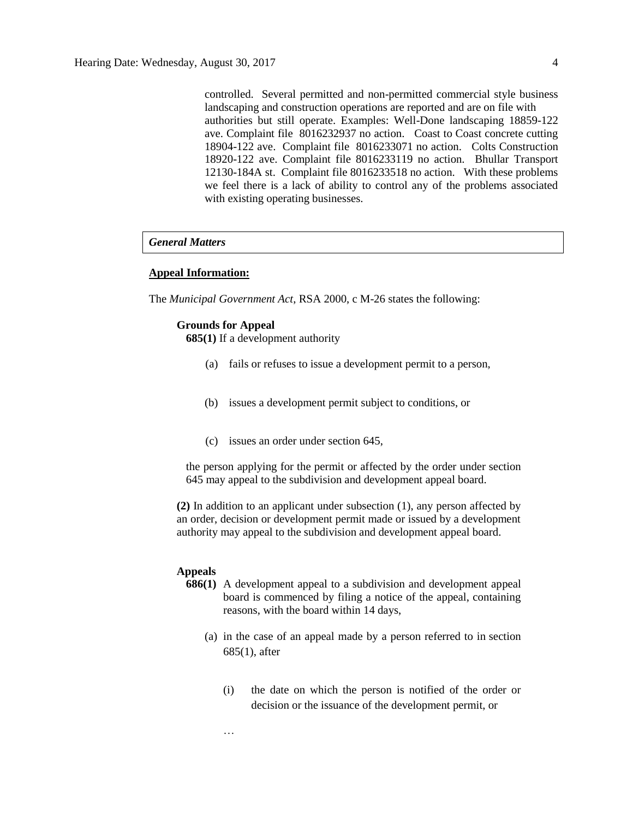controlled. Several permitted and non-permitted commercial style business landscaping and construction operations are reported and are on file with authorities but still operate. Examples: Well-Done landscaping 18859-122 ave. Complaint file 8016232937 no action. Coast to Coast concrete cutting 18904-122 ave. Complaint file 8016233071 no action. Colts Construction 18920-122 ave. Complaint file 8016233119 no action. Bhullar Transport 12130-184A st. Complaint file 8016233518 no action. With these problems we feel there is a lack of ability to control any of the problems associated with existing operating businesses.

#### *General Matters*

#### **Appeal Information:**

The *Municipal Government Act*, RSA 2000, c M-26 states the following:

#### **Grounds for Appeal**

**685(1)** If a development authority

- (a) fails or refuses to issue a development permit to a person,
- (b) issues a development permit subject to conditions, or
- (c) issues an order under section 645,

the person applying for the permit or affected by the order under section 645 may appeal to the subdivision and development appeal board.

**(2)** In addition to an applicant under subsection (1), any person affected by an order, decision or development permit made or issued by a development authority may appeal to the subdivision and development appeal board.

#### **Appeals**

- **686(1)** A development appeal to a subdivision and development appeal board is commenced by filing a notice of the appeal, containing reasons, with the board within 14 days,
	- (a) in the case of an appeal made by a person referred to in section 685(1), after
		- (i) the date on which the person is notified of the order or decision or the issuance of the development permit, or

…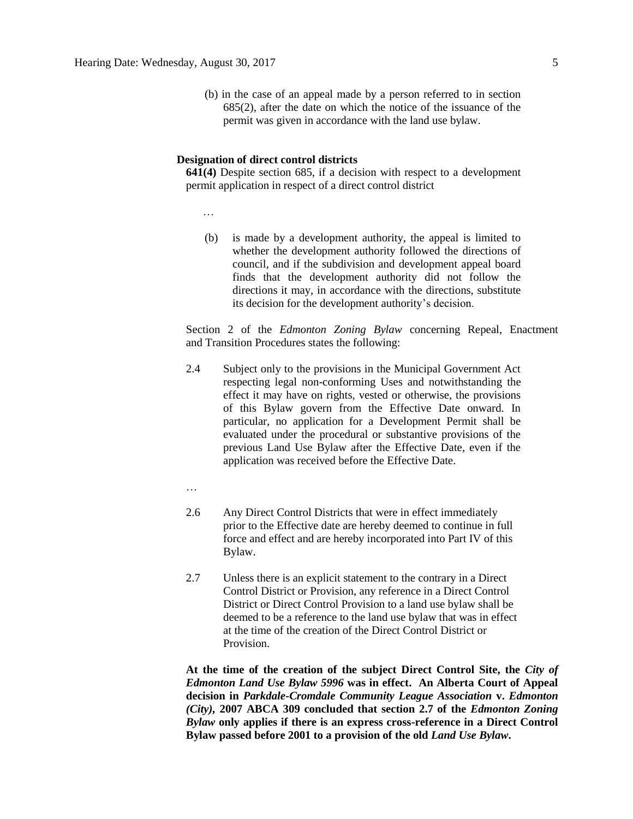(b) in the case of an appeal made by a person referred to in section 685(2), after the date on which the notice of the issuance of the permit was given in accordance with the land use bylaw.

#### **Designation of direct control districts**

**641(4)** Despite section 685, if a decision with respect to a development permit application in respect of a direct control district

…

(b) is made by a development authority, the appeal is limited to whether the development authority followed the directions of council, and if the subdivision and development appeal board finds that the development authority did not follow the directions it may, in accordance with the directions, substitute its decision for the development authority's decision.

Section 2 of the *Edmonton Zoning Bylaw* concerning Repeal, Enactment and Transition Procedures states the following:

- 2.4 Subject only to the provisions in the Municipal Government Act respecting legal non-conforming Uses and notwithstanding the effect it may have on rights, vested or otherwise, the provisions of this Bylaw govern from the Effective Date onward. In particular, no application for a Development Permit shall be evaluated under the procedural or substantive provisions of the previous Land Use Bylaw after the Effective Date, even if the application was received before the Effective Date.
- …
- 2.6 Any Direct Control Districts that were in effect immediately prior to the Effective date are hereby deemed to continue in full force and effect and are hereby incorporated into Part IV of this Bylaw.
- 2.7 Unless there is an explicit statement to the contrary in a Direct Control District or Provision, any reference in a Direct Control District or Direct Control Provision to a land use bylaw shall be deemed to be a reference to the land use bylaw that was in effect at the time of the creation of the Direct Control District or Provision.

**At the time of the creation of the subject Direct Control Site, the** *City of Edmonton Land Use Bylaw 5996* **was in effect. An Alberta Court of Appeal decision in** *Parkdale-Cromdale Community League Association* **v.** *Edmonton (City),* **2007 ABCA 309 concluded that section 2.7 of the** *Edmonton Zoning Bylaw* **only applies if there is an express cross-reference in a Direct Control Bylaw passed before 2001 to a provision of the old** *Land Use Bylaw***.**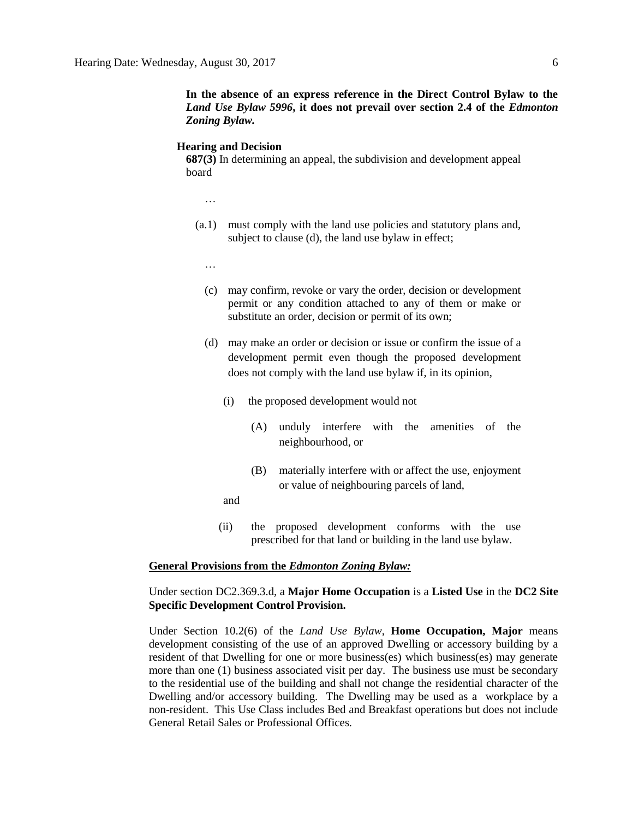**In the absence of an express reference in the Direct Control Bylaw to the**  *Land Use Bylaw 5996***, it does not prevail over section 2.4 of the** *Edmonton Zoning Bylaw.*

#### **Hearing and Decision**

**687(3)** In determining an appeal, the subdivision and development appeal board

- …
- (a.1) must comply with the land use policies and statutory plans and, subject to clause (d), the land use bylaw in effect;
	- …
	- (c) may confirm, revoke or vary the order, decision or development permit or any condition attached to any of them or make or substitute an order, decision or permit of its own;
	- (d) may make an order or decision or issue or confirm the issue of a development permit even though the proposed development does not comply with the land use bylaw if, in its opinion,
		- (i) the proposed development would not
			- (A) unduly interfere with the amenities of the neighbourhood, or
			- (B) materially interfere with or affect the use, enjoyment or value of neighbouring parcels of land,
		- and
		- (ii) the proposed development conforms with the use prescribed for that land or building in the land use bylaw.

#### **General Provisions from the** *Edmonton Zoning Bylaw:*

#### Under section DC2.369.3.d, a **Major Home Occupation** is a **Listed Use** in the **DC2 Site Specific Development Control Provision.**

Under Section 10.2(6) of the *Land Use Bylaw*, **Home Occupation, Major** means development consisting of the use of an approved Dwelling or accessory building by a resident of that Dwelling for one or more business(es) which business(es) may generate more than one (1) business associated visit per day. The business use must be secondary to the residential use of the building and shall not change the residential character of the Dwelling and/or accessory building. The Dwelling may be used as a workplace by a non-resident. This Use Class includes Bed and Breakfast operations but does not include General Retail Sales or Professional Offices.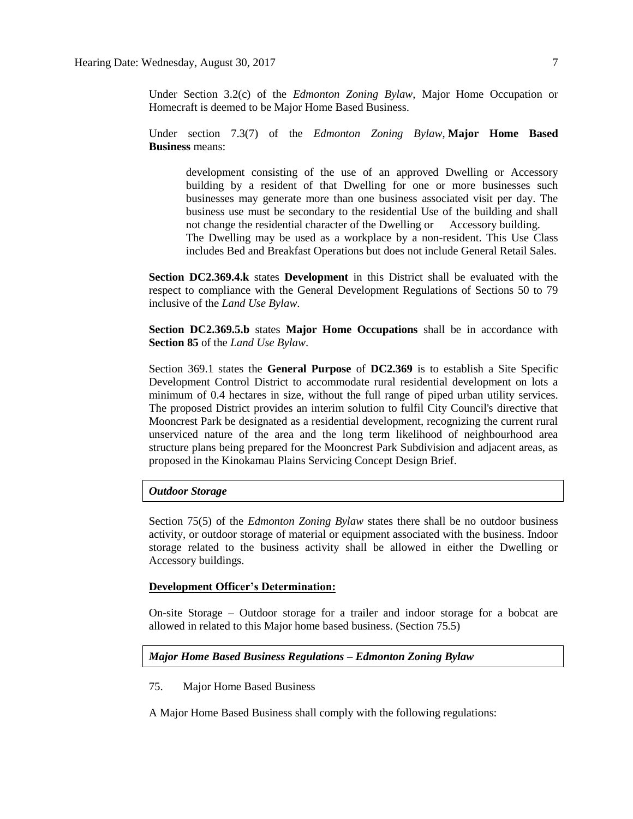Under Section 3.2(c) of the *Edmonton Zoning Bylaw*, Major Home Occupation or Homecraft is deemed to be Major Home Based Business.

Under section 7.3(7) of the *Edmonton Zoning Bylaw*, **Major Home Based Business** means:

development consisting of the use of an approved Dwelling or Accessory building by a resident of that Dwelling for one or more businesses such businesses may generate more than one business associated visit per day. The business use must be secondary to the residential Use of the building and shall not change the residential character of the Dwelling or Accessory building. The Dwelling may be used as a workplace by a non-resident. This Use Class includes Bed and Breakfast Operations but does not include General Retail Sales.

**Section DC2.369.4.k** states **Development** in this District shall be evaluated with the respect to compliance with the General Development Regulations of Sections 50 to 79 inclusive of the *Land Use Bylaw*.

**Section DC2.369.5.b** states **Major Home Occupations** shall be in accordance with **Section 85** of the *Land Use Bylaw*.

Section 369.1 states the **General Purpose** of **DC2.369** is to establish a Site Specific Development Control District to accommodate rural residential development on lots a minimum of 0.4 hectares in size, without the full range of piped urban utility services. The proposed District provides an interim solution to fulfil City Council's directive that Mooncrest Park be designated as a residential development, recognizing the current rural unserviced nature of the area and the long term likelihood of neighbourhood area structure plans being prepared for the Mooncrest Park Subdivision and adjacent areas, as proposed in the Kinokamau Plains Servicing Concept Design Brief.

#### *Outdoor Storage*

Section 75(5) of the *Edmonton Zoning Bylaw* states there shall be no outdoor business activity, or outdoor storage of material or equipment associated with the business. Indoor storage related to the business activity shall be allowed in either the Dwelling or Accessory buildings.

#### **Development Officer's Determination:**

On-site Storage – Outdoor storage for a trailer and indoor storage for a bobcat are allowed in related to this Major home based business. (Section 75.5)

#### *Major Home Based Business Regulations – Edmonton Zoning Bylaw*

#### 75. Major Home Based Business

A [Major Home Based Business](javascript:void(0);) shall comply with the following regulations: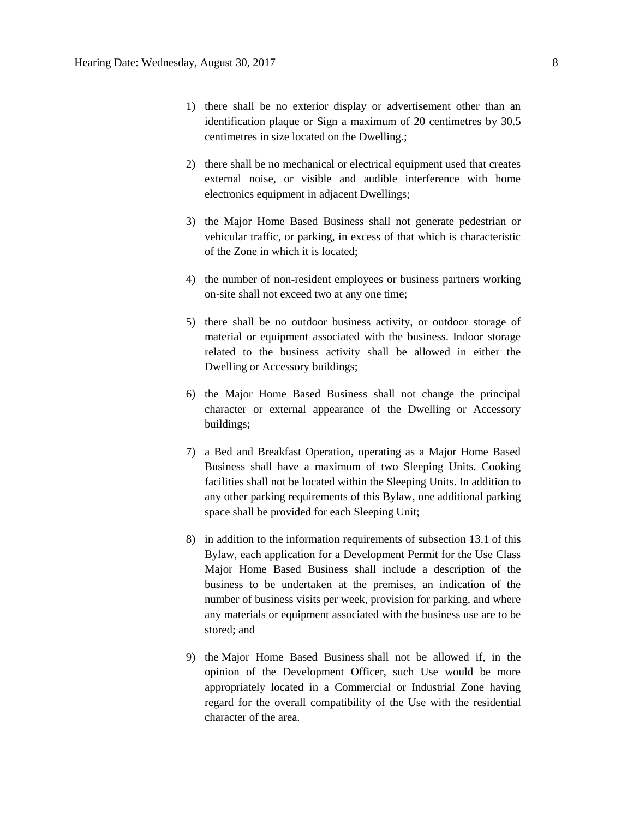- 1) there shall be no exterior display or advertisement other than an identification plaque or Sign a maximum of 20 centimetres by 30.5 centimetres in size located on the Dwelling.;
- 2) there shall be no mechanical or electrical equipment used that creates external noise, or visible and audible interference with home electronics equipment in adjacent Dwellings;
- 3) the Major Home Based Business shall not generate pedestrian or vehicular traffic, or parking, in excess of that which is characteristic of the Zone in which it is located;
- 4) the number of non-resident employees or business partners working on-site shall not exceed two at any one time;
- 5) there shall be no outdoor business activity, or outdoor storage of material or equipment associated with the business. Indoor storage related to the business activity shall be allowed in either the Dwelling or Accessory buildings;
- 6) the Major Home Based Business shall not change the principal character or external appearance of the Dwelling or Accessory buildings;
- 7) a Bed and Breakfast Operation, operating as a Major Home Based Business shall have a maximum of two Sleeping Units. Cooking facilities shall not be located within the Sleeping Units. In addition to any other parking requirements of this Bylaw, one additional parking space shall be provided for each Sleeping Unit;
- 8) in addition to the information requirements of [subsection 13.1](http://webdocs.edmonton.ca/InfraPlan/zoningbylaw/ZoningBylaw/Part1/Administrative/13__Development_Application_Submissions.htm) of this Bylaw, each application for a Development Permit for the Use Class Major Home Based Business shall include a description of the business to be undertaken at the premises, an indication of the number of business visits per week, provision for parking, and where any materials or equipment associated with the business use are to be stored; and
- 9) the [Major Home Based Business](javascript:void(0);) shall not be allowed if, in the opinion of the Development Officer, such Use would be more appropriately located in a Commercial or Industrial Zone having regard for the overall compatibility of the Use with the residential character of the area.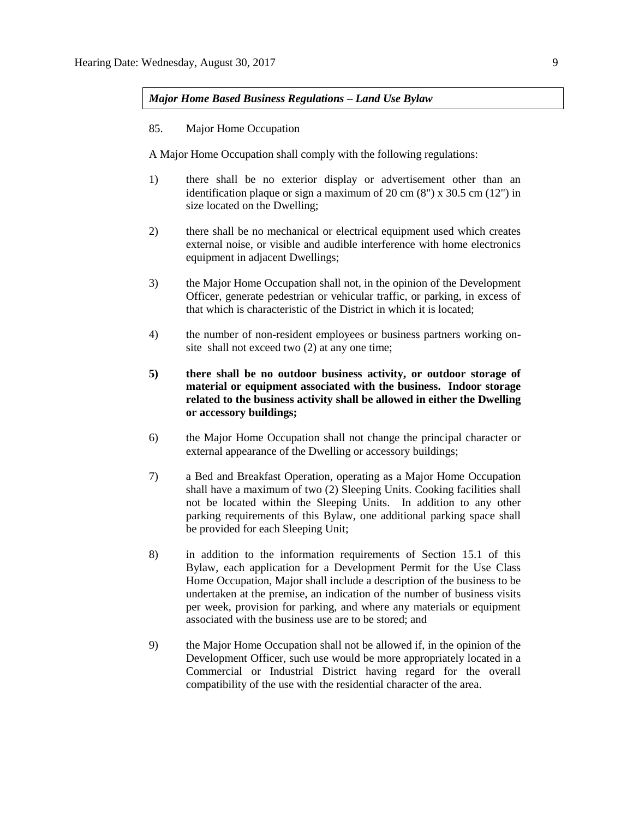*Major Home Based Business Regulations – Land Use Bylaw*

85. Major Home Occupation

A Major Home Occupation shall comply with the following regulations:

- 1) there shall be no exterior display or advertisement other than an identification plaque or sign a maximum of 20 cm (8") x 30.5 cm (12") in size located on the Dwelling;
- 2) there shall be no mechanical or electrical equipment used which creates external noise, or visible and audible interference with home electronics equipment in adjacent Dwellings;
- 3) the Major Home Occupation shall not, in the opinion of the Development Officer, generate pedestrian or vehicular traffic, or parking, in excess of that which is characteristic of the District in which it is located;
- 4) the number of non-resident employees or business partners working onsite shall not exceed two (2) at any one time;
- **5) there shall be no outdoor business activity, or outdoor storage of material or equipment associated with the business. Indoor storage related to the business activity shall be allowed in either the Dwelling or accessory buildings;**
- 6) the Major Home Occupation shall not change the principal character or external appearance of the Dwelling or accessory buildings;
- 7) a Bed and Breakfast Operation, operating as a Major Home Occupation shall have a maximum of two (2) Sleeping Units. Cooking facilities shall not be located within the Sleeping Units. In addition to any other parking requirements of this Bylaw, one additional parking space shall be provided for each Sleeping Unit;
- 8) in addition to the information requirements of Section 15.1 of this Bylaw, each application for a Development Permit for the Use Class Home Occupation, Major shall include a description of the business to be undertaken at the premise, an indication of the number of business visits per week, provision for parking, and where any materials or equipment associated with the business use are to be stored; and
- 9) the Major Home Occupation shall not be allowed if, in the opinion of the Development Officer, such use would be more appropriately located in a Commercial or Industrial District having regard for the overall compatibility of the use with the residential character of the area.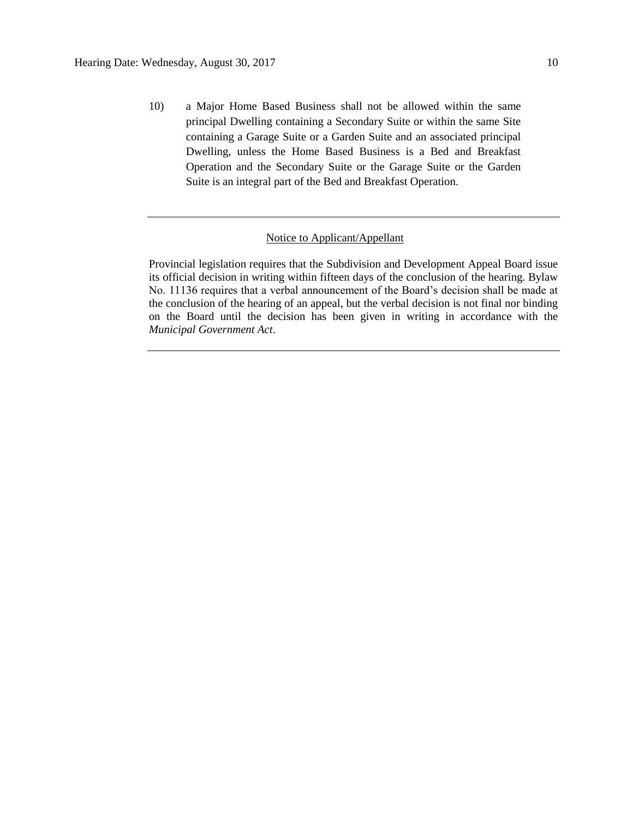10) a Major Home Based Business shall not be allowed within the same principal Dwelling containing a Secondary Suite or within the same Site containing a Garage Suite or a Garden Suite and an associated principal Dwelling, unless the Home Based Business is a Bed and Breakfast Operation and the Secondary Suite or the Garage Suite or the Garden Suite is an integral part of the Bed and Breakfast Operation.

### Notice to Applicant/Appellant

Provincial legislation requires that the Subdivision and Development Appeal Board issue its official decision in writing within fifteen days of the conclusion of the hearing. Bylaw No. 11136 requires that a verbal announcement of the Board's decision shall be made at the conclusion of the hearing of an appeal, but the verbal decision is not final nor binding on the Board until the decision has been given in writing in accordance with the *Municipal Government Act*.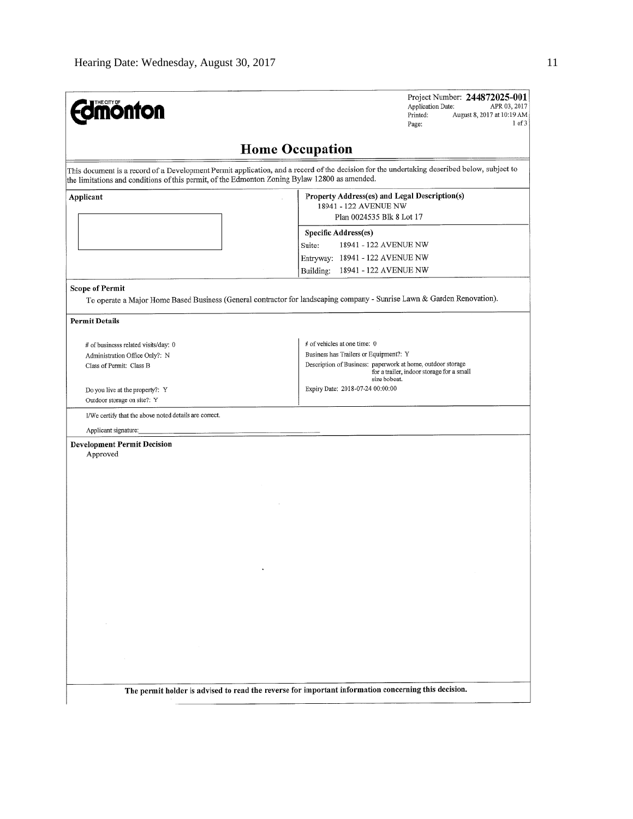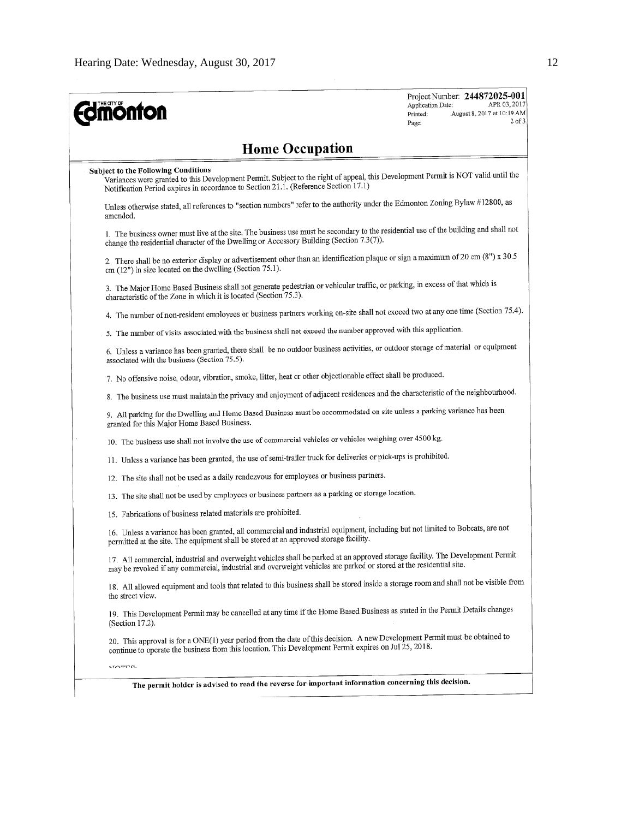| <b>mönton</b>                                                                                                                                                                                                                                                          | Project Number: 244872025-001<br>APR 03, 2017<br>Application Date:<br>August 8, 2017 at 10:19 AM<br>Printed:<br>Page: |  |  |  |  |  |  |
|------------------------------------------------------------------------------------------------------------------------------------------------------------------------------------------------------------------------------------------------------------------------|-----------------------------------------------------------------------------------------------------------------------|--|--|--|--|--|--|
| <b>Home Occupation</b>                                                                                                                                                                                                                                                 |                                                                                                                       |  |  |  |  |  |  |
| <b>Subject to the Following Conditions</b><br>Variances were granted to this Development Permit. Subject to the right of appeal, this Development Permit is NOT valid until the<br>Notification Period expires in accordance to Section 21.1. (Reference Section 17.1) |                                                                                                                       |  |  |  |  |  |  |
| Unless otherwise stated, all references to "section numbers" refer to the authority under the Edmonton Zoning Bylaw #12800, as<br>amended.                                                                                                                             |                                                                                                                       |  |  |  |  |  |  |
| 1. The business owner must live at the site. The business use must be secondary to the residential use of the building and shall not<br>change the residential character of the Dwelling or Accessory Building (Section 7.3(7)).                                       |                                                                                                                       |  |  |  |  |  |  |
| 2. There shall be no exterior display or advertisement other than an identification plaque or sign a maximum of 20 cm (8") x 30.5<br>cm (12") in size located on the dwelling (Section 75.1).                                                                          |                                                                                                                       |  |  |  |  |  |  |
| 3. The Major Home Based Business shall not generate pedestrian or vehicular traffic, or parking, in excess of that which is<br>characteristic of the Zone in which it is located (Section 75.3).                                                                       |                                                                                                                       |  |  |  |  |  |  |
| 4. The number of non-resident employees or business partners working on-site shall not exceed two at any one time (Section 75.4).                                                                                                                                      |                                                                                                                       |  |  |  |  |  |  |
| 5. The number of visits associated with the business shall not exceed the number approved with this application.                                                                                                                                                       |                                                                                                                       |  |  |  |  |  |  |
| 6. Unless a variance has been granted, there shall be no outdoor business activities, or outdoor storage of material or equipment<br>associated with the business (Section 75.5).                                                                                      |                                                                                                                       |  |  |  |  |  |  |
| 7. No offensive noise, odour, vibration, smoke, litter, heat or other objectionable effect shall be produced.                                                                                                                                                          |                                                                                                                       |  |  |  |  |  |  |
| 8. The business use must maintain the privacy and enjoyment of adjacent residences and the characteristic of the neighbourhood.                                                                                                                                        |                                                                                                                       |  |  |  |  |  |  |
| 9. All parking for the Dwelling and Home Based Business must be accommodated on site unless a parking variance has been<br>granted for this Major Home Based Business.                                                                                                 |                                                                                                                       |  |  |  |  |  |  |
| 10. The business use shall not involve the use of commercial vehicles or vehicles weighing over 4500 kg.                                                                                                                                                               |                                                                                                                       |  |  |  |  |  |  |
| 11. Unless a variance has been granted, the use of semi-trailer truck for deliveries or pick-ups is prohibited.                                                                                                                                                        |                                                                                                                       |  |  |  |  |  |  |
| 12. The site shall not be used as a daily rendezvous for employees or business partners.                                                                                                                                                                               |                                                                                                                       |  |  |  |  |  |  |
| 13. The site shall not be used by employees or business partners as a parking or storage location.                                                                                                                                                                     |                                                                                                                       |  |  |  |  |  |  |
| 15. Fabrications of business related materials are prohibited.                                                                                                                                                                                                         |                                                                                                                       |  |  |  |  |  |  |
| 16. Unless a variance has been granted, all commercial and industrial equipment, including but not limited to Bobcats, are not<br>permitted at the site. The equipment shall be stored at an approved storage facility.                                                |                                                                                                                       |  |  |  |  |  |  |
| 17. All commercial, industrial and overweight vehicles shall be parked at an approved storage facility. The Development Permit<br>may be revoked if any commercial, industrial and overweight vehicles are parked or stored at the residential site.                   |                                                                                                                       |  |  |  |  |  |  |
| 18. All allowed equipment and tools that related to this business shall be stored inside a storage room and shall not be visible from<br>the street view.                                                                                                              |                                                                                                                       |  |  |  |  |  |  |
| 19. This Development Permit may be cancelled at any time if the Home Based Business as stated in the Permit Details changes<br>(Section 17.2).                                                                                                                         |                                                                                                                       |  |  |  |  |  |  |
| 20. This approval is for a ONE(1) year period from the date of this decision. A new Development Permit must be obtained to<br>continue to operate the business from this location. This Development Permit expires on Jul 25, 2018.                                    |                                                                                                                       |  |  |  |  |  |  |
| <b>MOTTO.</b>                                                                                                                                                                                                                                                          |                                                                                                                       |  |  |  |  |  |  |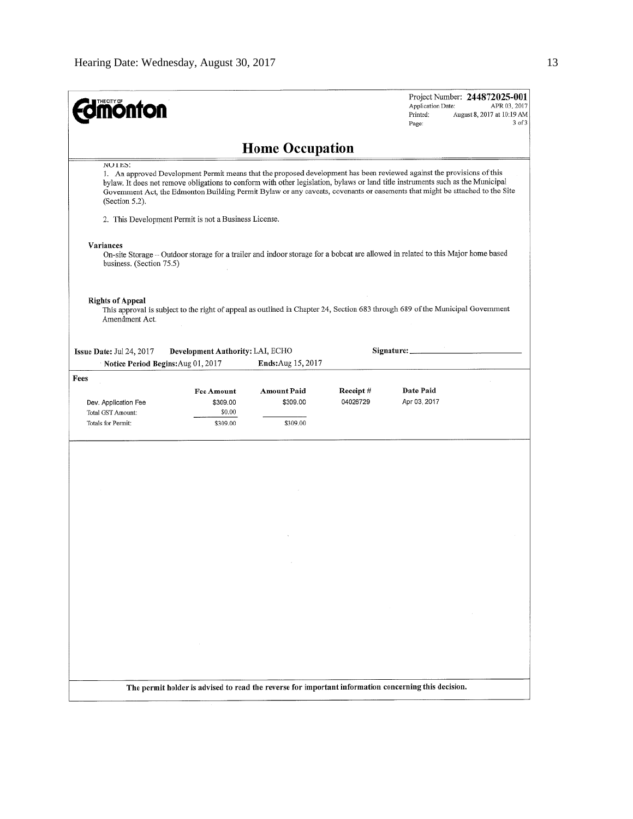| THE CITY OF<br><b>nonton</b>              |                                                       |                                                                                                                                                                                                                                                                                                                                                                                           |                      | Application Date:<br>Printed:<br>Page: | Project Number: 244872025-001<br>APR 03, 2017<br>August 8, 2017 at 10:19 AM<br>$3$ of $3$ |
|-------------------------------------------|-------------------------------------------------------|-------------------------------------------------------------------------------------------------------------------------------------------------------------------------------------------------------------------------------------------------------------------------------------------------------------------------------------------------------------------------------------------|----------------------|----------------------------------------|-------------------------------------------------------------------------------------------|
|                                           |                                                       | <b>Home Occupation</b>                                                                                                                                                                                                                                                                                                                                                                    |                      |                                        |                                                                                           |
| NUTES:<br>(Section 5.2).                  |                                                       | 1. An approved Development Permit means that the proposed development has been reviewed against the provisions of this<br>bylaw. It does not remove obligations to conform with other legislation, bylaws or land title instruments such as the Municipal<br>Government Act, the Edmonton Building Permit Bylaw or any caveats, covenants or easements that might be attached to the Site |                      |                                        |                                                                                           |
|                                           | 2. This Development Permit is not a Business License. |                                                                                                                                                                                                                                                                                                                                                                                           |                      |                                        |                                                                                           |
| Variances<br>business. (Section 75.5)     |                                                       | On-site Storage - Outdoor storage for a trailer and indoor storage for a bobcat are allowed in related to this Major home based                                                                                                                                                                                                                                                           |                      |                                        |                                                                                           |
| <b>Rights of Appeal</b><br>Amendment Act. |                                                       | This approval is subject to the right of appeal as outlined in Chapter 24, Section 683 through 689 of the Municipal Government                                                                                                                                                                                                                                                            |                      |                                        |                                                                                           |
| Issue Date: Jul 24, 2017                  | Development Authority: LAI, ECHO                      |                                                                                                                                                                                                                                                                                                                                                                                           |                      | Signature:                             |                                                                                           |
| Notice Period Begins: Aug 01, 2017        |                                                       | Ends: Aug 15, 2017                                                                                                                                                                                                                                                                                                                                                                        |                      |                                        |                                                                                           |
| Fees                                      |                                                       |                                                                                                                                                                                                                                                                                                                                                                                           |                      |                                        |                                                                                           |
| Dev. Application Fee<br>Total GST Amount: | <b>Fee Amount</b><br>\$309.00<br>\$0.00               | Amount Paid<br>\$309.00                                                                                                                                                                                                                                                                                                                                                                   | Receipt#<br>04026729 | Date Paid<br>Apr 03, 2017              |                                                                                           |
| Totals for Permit:                        | \$309.00                                              | \$309.00                                                                                                                                                                                                                                                                                                                                                                                  |                      |                                        |                                                                                           |
|                                           |                                                       |                                                                                                                                                                                                                                                                                                                                                                                           |                      |                                        |                                                                                           |
|                                           |                                                       |                                                                                                                                                                                                                                                                                                                                                                                           |                      |                                        |                                                                                           |
|                                           |                                                       |                                                                                                                                                                                                                                                                                                                                                                                           |                      |                                        |                                                                                           |
|                                           |                                                       |                                                                                                                                                                                                                                                                                                                                                                                           |                      |                                        |                                                                                           |
|                                           |                                                       |                                                                                                                                                                                                                                                                                                                                                                                           |                      |                                        |                                                                                           |
|                                           |                                                       |                                                                                                                                                                                                                                                                                                                                                                                           |                      |                                        |                                                                                           |
|                                           |                                                       |                                                                                                                                                                                                                                                                                                                                                                                           |                      |                                        |                                                                                           |
|                                           |                                                       |                                                                                                                                                                                                                                                                                                                                                                                           |                      |                                        |                                                                                           |
|                                           |                                                       |                                                                                                                                                                                                                                                                                                                                                                                           |                      |                                        |                                                                                           |
|                                           |                                                       |                                                                                                                                                                                                                                                                                                                                                                                           |                      |                                        |                                                                                           |
|                                           |                                                       |                                                                                                                                                                                                                                                                                                                                                                                           |                      |                                        |                                                                                           |
|                                           |                                                       |                                                                                                                                                                                                                                                                                                                                                                                           |                      |                                        |                                                                                           |
|                                           |                                                       | The permit holder is advised to read the reverse for important information concerning this decision.                                                                                                                                                                                                                                                                                      |                      |                                        |                                                                                           |